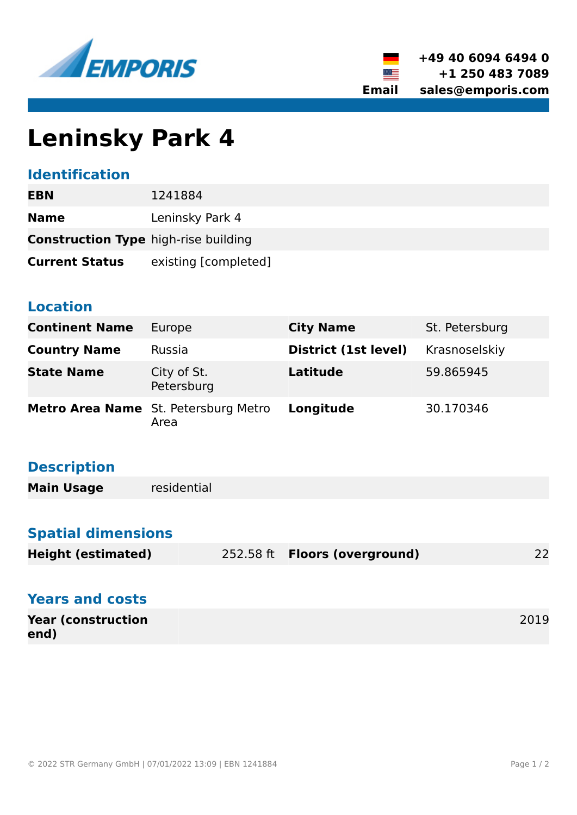



# **Leninsky Park 4**

### **Identification**

| EBN                                         | 1241884              |  |
|---------------------------------------------|----------------------|--|
| <b>Name</b>                                 | Leninsky Park 4      |  |
| <b>Construction Type high-rise building</b> |                      |  |
| <b>Current Status</b>                       | existing [completed] |  |

#### **Location**

| <b>Continent Name</b> | Europe                                       | <b>City Name</b>     | St. Petersburg |
|-----------------------|----------------------------------------------|----------------------|----------------|
| <b>Country Name</b>   | Russia                                       | District (1st level) | Krasnoselskiy  |
| <b>State Name</b>     | City of St.<br>Petersburg                    | <b>Latitude</b>      | 59.865945      |
|                       | Metro Area Name St. Petersburg Metro<br>Area | Longitude            | 30.170346      |

# **Description**

| <b>Main Usage</b> | residential |
|-------------------|-------------|
|                   |             |

## **Spatial dimensions**

| <b>Height (estimated)</b> | 252.58 ft <b>Floors (overground)</b> | າາ |
|---------------------------|--------------------------------------|----|
|                           |                                      | ΖZ |

| <b>Years and costs</b>            |      |
|-----------------------------------|------|
| <b>Year (construction</b><br>end) | 2019 |